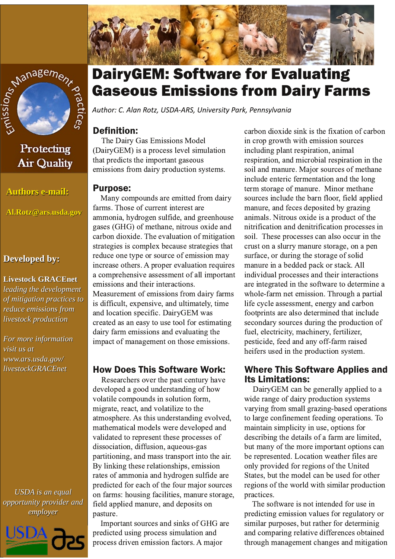



Protecting **Air Quality** 

**Authors e-mail:** 

Al.Rotz@ars.usda.gov

## **Developed by:**

## **Livestock GRACEnet** leading the development

of mitigation practices to reduce emissions from livestock production

For more information visit us at www.ars.usda.gov/ livestockGRACEnet

**USDA** is an equal opportunity provider and employer



# **DairyGEM: Software for Evaluating Gaseous Emissions from Dairy Farms**

Author: C. Alan Rotz, USDA-ARS, University Park, Pennsylvania

# **Definition:**

The Dairy Gas Emissions Model (DairyGEM) is a process level simulation that predicts the important gaseous emissions from dairy production systems.

#### **Purpose:**

Many compounds are emitted from dairy farms. Those of current interest are ammonia, hydrogen sulfide, and greenhouse gases (GHG) of methane, nitrous oxide and carbon dioxide. The evaluation of mitigation strategies is complex because strategies that reduce one type or source of emission may increase others. A proper evaluation requires a comprehensive assessment of all important emissions and their interactions. Measurement of emissions from dairy farms is difficult, expensive, and ultimately, time and location specific. DairyGEM was created as an easy to use tool for estimating dairy farm emissions and evaluating the impact of management on those emissions.

# **How Does This Software Work:**

Researchers over the past century have developed a good understanding of how volatile compounds in solution form, migrate, react, and volatilize to the atmosphere. As this understanding evolved, mathematical models were developed and validated to represent these processes of dissociation, diffusion, aqueous-gas partitioning, and mass transport into the air. By linking these relationships, emission rates of ammonia and hydrogen sulfide are predicted for each of the four major sources on farms: housing facilities, manure storage, field applied manure, and deposits on pasture.

Important sources and sinks of GHG are predicted using process simulation and process driven emission factors. A major

carbon dioxide sink is the fixation of carbon in crop growth with emission sources including plant respiration, animal respiration, and microbial respiration in the soil and manure. Major sources of methane include enteric fermentation and the long term storage of manure. Minor methane sources include the barn floor, field applied manure, and feces deposited by grazing animals. Nitrous oxide is a product of the nitrification and denitrification processes in soil. These processes can also occur in the crust on a slurry manure storage, on a pen surface, or during the storage of solid manure in a bedded pack or stack. All individual processes and their interactions are integrated in the software to determine a whole-farm net emission. Through a partial life cycle assessment, energy and carbon footprints are also determined that include secondary sources during the production of fuel, electricity, machinery, fertilizer, pesticide, feed and any off-farm raised heifers used in the production system.

## **Where This Software Applies and Its Limitations:**

DairyGEM can be generally applied to a wide range of dairy production systems varying from small grazing-based operations to large confinement feeding operations. To maintain simplicity in use, options for describing the details of a farm are limited. but many of the more important options can be represented. Location weather files are only provided for regions of the United States, but the model can be used for other regions of the world with similar production practices.

The software is not intended for use in predicting emission values for regulatory or similar purposes, but rather for determinig and comparing relative differences obtained through management changes and mitigation